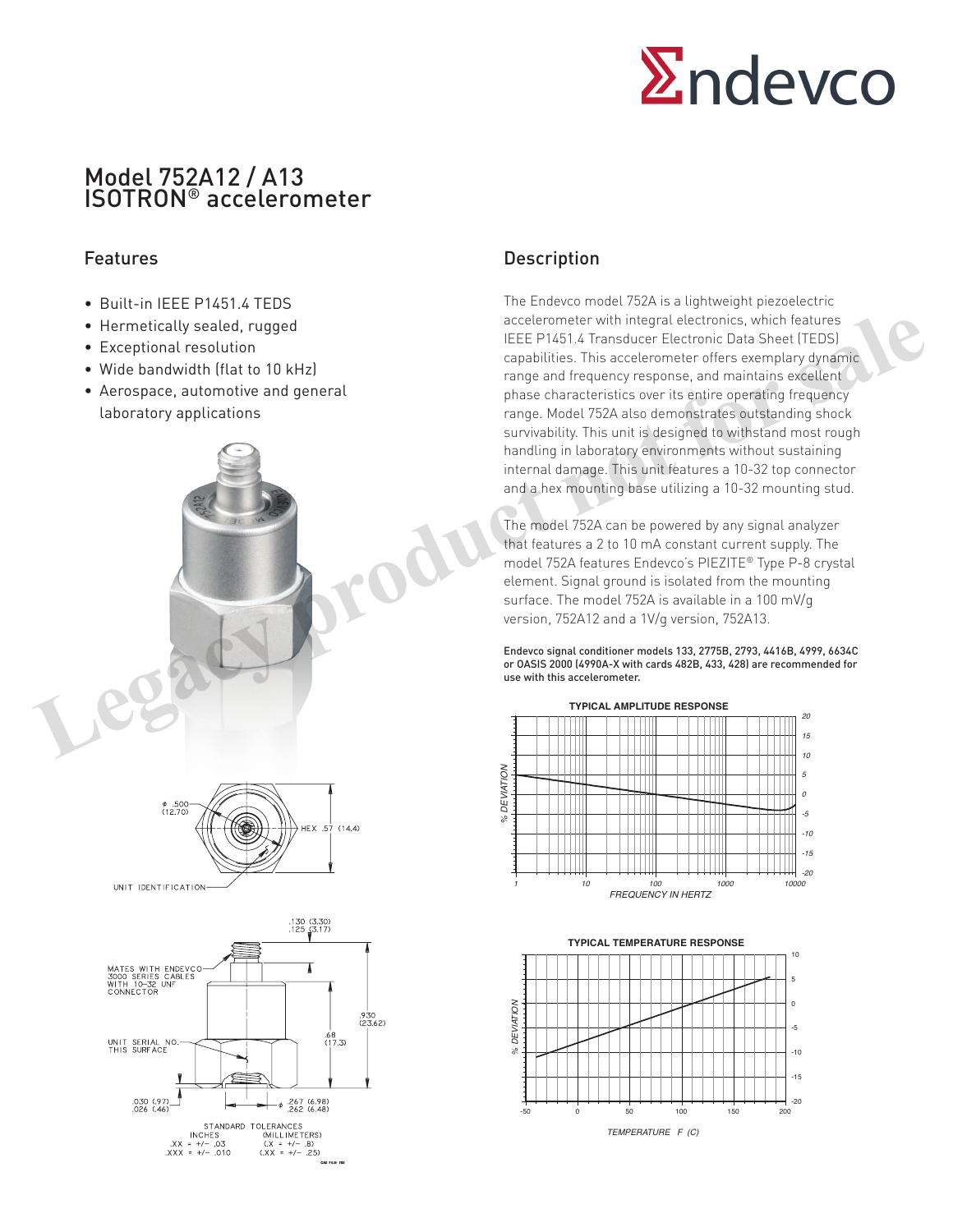

# Model 752A12 / A13 ISOTRON® accelerometer

#### Features

- Built-in IFFF P1451 4 TEDS
- Hermetically sealed, rugged
- Exceptional resolution
- Wide bandwidth (flat to 10 kHz)
- Aerospace, automotive and general laboratory applications







## Description

The Endevco model 752A is a lightweight piezoelectric accelerometer with integral electronics, which features IEEE P1451.4 Transducer Electronic Data Sheet (TEDS) capabilities. This accelerometer offers exemplary dynamic range and frequency response, and maintains excellent phase characteristics over its entire operating frequency range. Model 752A also demonstrates outstanding shock survivability. This unit is designed to withstand most rough handling in laboratory environments without sustaining internal damage. This unit features a 10-32 top connector and a hex mounting base utilizing a 10-32 mounting stud.

The model 752A can be powered by any signal analyzer that features a 2 to 10 mA constant current supply. The model 752A features Endevco's PIEZITE® Type P-8 crystal element. Signal ground is isolated from the mounting surface. The model 752A is available in a 100 mV/g version, 752A12 and a 1V/g version, 752A13.

Endevco signal conditioner models 133, 2775B, 2793, 4416B, 4999, 6634C or OASIS 2000 (4990A-X with cards 482B, 433, 428) are recommended for use with this accelerometer.



**TYPICAL TEMPERATURE RESPONSE**

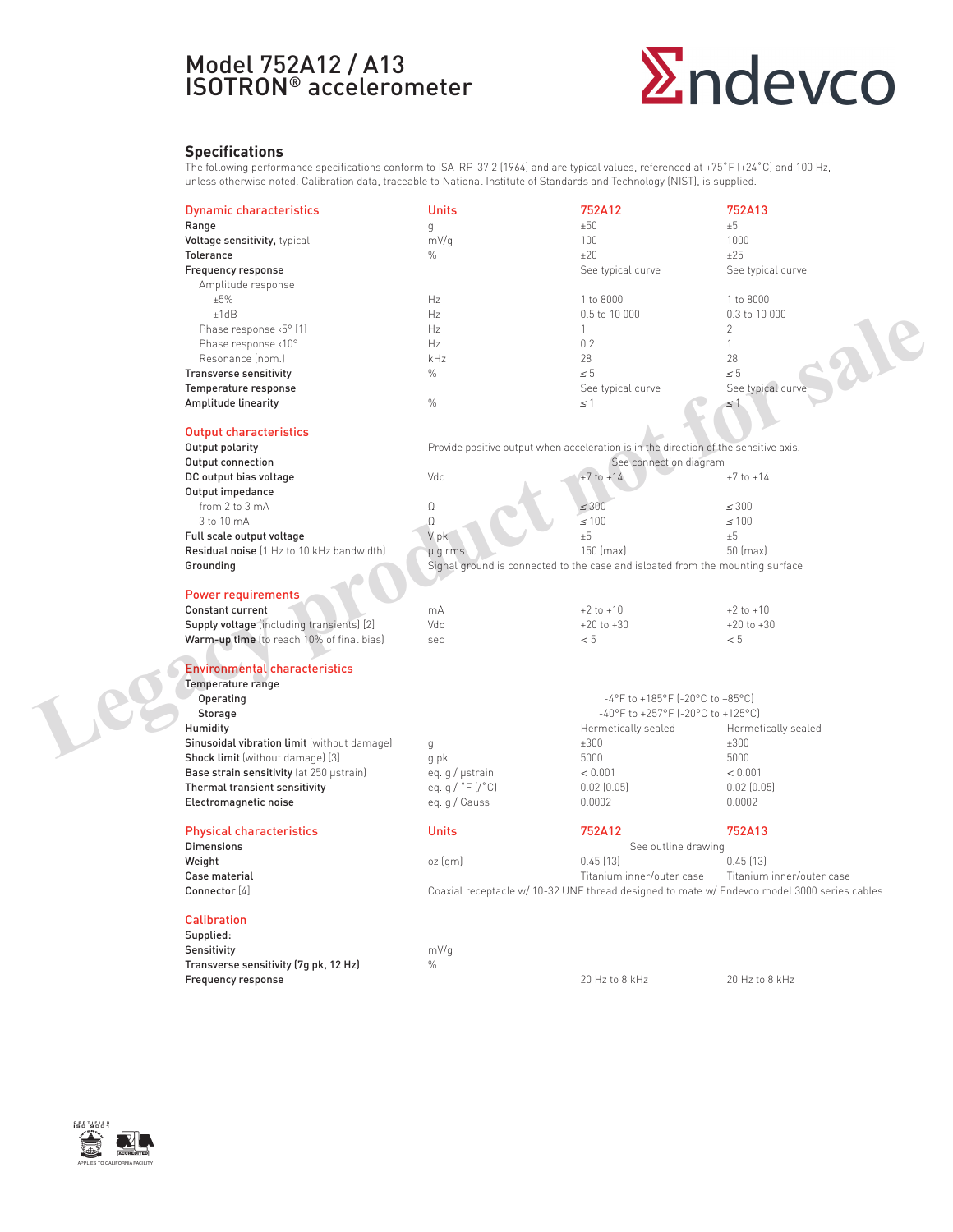# Model 752A12 / A13 ISOTRON® accelerometer

# **Endevco**

#### **Specifications**

The following performance specifications conform to ISA-RP-37.2 (1964) and are typical values, referenced at +75˚F (+24˚C) and 100 Hz, unless otherwise noted. Calibration data, traceable to National Institute of Standards and Technology (NIST), is supplied.

|  | <b>Dynamic characteristics</b>                                               | <b>Units</b>                                                                  | 752A12                                                                                      | 752A13                          |  |  |  |
|--|------------------------------------------------------------------------------|-------------------------------------------------------------------------------|---------------------------------------------------------------------------------------------|---------------------------------|--|--|--|
|  | Range                                                                        | $\mathsf{g}$                                                                  | ±50                                                                                         | ±5                              |  |  |  |
|  | Voltage sensitivity, typical                                                 | mV/g                                                                          | 100                                                                                         | 1000                            |  |  |  |
|  | Tolerance                                                                    | $\%$                                                                          | ±20                                                                                         | ±25                             |  |  |  |
|  | Frequency response                                                           |                                                                               | See typical curve                                                                           | See typical curve               |  |  |  |
|  | Amplitude response                                                           |                                                                               |                                                                                             |                                 |  |  |  |
|  | ±5%                                                                          | Hz                                                                            | 1 to 8000                                                                                   | 1 to 8000                       |  |  |  |
|  | ±1dB                                                                         | Hz                                                                            | 0.5 to 10 000                                                                               | 0.3 to 10 000                   |  |  |  |
|  | Phase response <5° [1]                                                       | Hz                                                                            | $\mathbf{1}$                                                                                | $\overline{2}$                  |  |  |  |
|  | Phase response <10°                                                          | Hz                                                                            | 0.2                                                                                         | $\mathbf{1}$                    |  |  |  |
|  | Resonance (nom.)                                                             | kHz                                                                           | 28                                                                                          | 28                              |  |  |  |
|  | <b>Transverse sensitivity</b>                                                | $\frac{0}{0}$                                                                 | $\leq 5$                                                                                    | $\leq 5$                        |  |  |  |
|  | Temperature response                                                         |                                                                               | See typical curve                                                                           | <b>Ale</b><br>See typical curve |  |  |  |
|  | Amplitude linearity                                                          | $\%$                                                                          | $\leq 1$                                                                                    | $\leq 1$                        |  |  |  |
|  |                                                                              |                                                                               |                                                                                             |                                 |  |  |  |
|  | <b>Output characteristics</b>                                                |                                                                               |                                                                                             |                                 |  |  |  |
|  | Output polarity                                                              |                                                                               | Provide positive output when acceleration is in the direction of the sensitive axis.        |                                 |  |  |  |
|  | Output connection                                                            | See connection diagram                                                        |                                                                                             |                                 |  |  |  |
|  | DC output bias voltage                                                       | Vdc                                                                           | $+7$ to $+14$                                                                               | $+7$ to $+14$                   |  |  |  |
|  | Output impedance                                                             |                                                                               |                                                                                             |                                 |  |  |  |
|  | from 2 to 3 mA                                                               | $\Omega$                                                                      | $\leq 300$                                                                                  | $\leq 300$                      |  |  |  |
|  | 3 to 10 mA                                                                   | $\Omega$                                                                      | $\leq 100$                                                                                  | $\leq 100$                      |  |  |  |
|  | Full scale output voltage                                                    | V pk                                                                          | $\pm 5$                                                                                     | ±5                              |  |  |  |
|  | Residual noise (1 Hz to 10 kHz bandwidth)                                    | µ g rms                                                                       | 150 (max)                                                                                   | 50 (max)                        |  |  |  |
|  | Grounding                                                                    | Signal ground is connected to the case and isloated from the mounting surface |                                                                                             |                                 |  |  |  |
|  |                                                                              |                                                                               |                                                                                             |                                 |  |  |  |
|  | <b>Power requirements</b>                                                    |                                                                               |                                                                                             |                                 |  |  |  |
|  | <b>Constant current</b>                                                      | mA                                                                            | $+2$ to $+10$                                                                               | $+2$ to $+10$                   |  |  |  |
|  | Supply voltage (including transients) [2]                                    | Vdc                                                                           | $+20$ to $+30$                                                                              | $+20$ to $+30$                  |  |  |  |
|  | Warm-up time (to reach 10% of final bias)                                    | sec                                                                           | < 5                                                                                         | < 5                             |  |  |  |
|  |                                                                              |                                                                               |                                                                                             |                                 |  |  |  |
|  | <b>Environmental characteristics</b>                                         |                                                                               |                                                                                             |                                 |  |  |  |
|  | Temperature range                                                            |                                                                               |                                                                                             |                                 |  |  |  |
|  | Operating                                                                    | -4°F to +185°F [-20°C to +85°C]                                               |                                                                                             |                                 |  |  |  |
|  | Storage                                                                      | -40°F to +257°F [-20°C to +125°C]                                             |                                                                                             |                                 |  |  |  |
|  | Humidity                                                                     |                                                                               | Hermetically sealed                                                                         | Hermetically sealed             |  |  |  |
|  | Sinusoidal vibration limit (without damage)                                  | g                                                                             | ±300                                                                                        | ±300                            |  |  |  |
|  | Shock limit (without damage) [3]<br>Base strain sensitivity (at 250 µstrain) | q pk                                                                          | 5000                                                                                        | 5000<br>< 0.001                 |  |  |  |
|  | Thermal transient sensitivity                                                | eq. g / µstrain<br>eq. q / $\degree$ F (/ $\degree$ C)                        | < 0.001<br>0.02(0.05)                                                                       | $0.02$ $(0.05)$                 |  |  |  |
|  | Electromagnetic noise                                                        | eq. g / Gauss                                                                 | 0.0002                                                                                      | 0.0002                          |  |  |  |
|  |                                                                              |                                                                               |                                                                                             |                                 |  |  |  |
|  | <b>Physical characteristics</b>                                              | <b>Units</b>                                                                  | 752A12                                                                                      | 752A13                          |  |  |  |
|  | <b>Dimensions</b>                                                            | See outline drawing                                                           |                                                                                             |                                 |  |  |  |
|  | Weight                                                                       | oz(qm)                                                                        | 0.45(13)<br>$0.45$ [13]                                                                     |                                 |  |  |  |
|  | Case material                                                                |                                                                               | Titanium inner/outer case                                                                   | Titanium inner/outer case       |  |  |  |
|  | Connector [4]                                                                |                                                                               | Coaxial receptacle w/ 10-32 UNF thread designed to mate w/ Endevco model 3000 series cables |                                 |  |  |  |
|  |                                                                              |                                                                               |                                                                                             |                                 |  |  |  |
|  | <b>Calibration</b>                                                           |                                                                               |                                                                                             |                                 |  |  |  |
|  | Supplied:                                                                    |                                                                               |                                                                                             |                                 |  |  |  |
|  | Sensitivity                                                                  | mV/q                                                                          |                                                                                             |                                 |  |  |  |
|  | Transverse sensitivity (7g pk, 12 Hz)                                        | $\%$                                                                          |                                                                                             |                                 |  |  |  |
|  | Frequency response                                                           |                                                                               | 20 Hz to 8 kHz                                                                              | 20 Hz to 8 kHz                  |  |  |  |